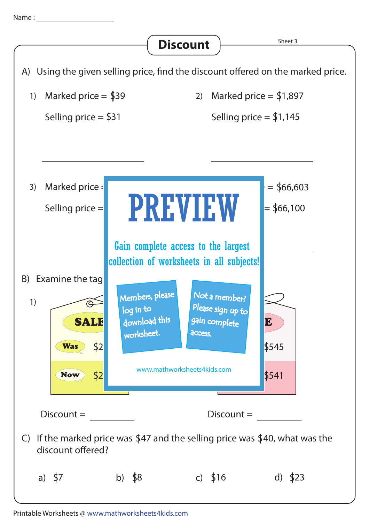